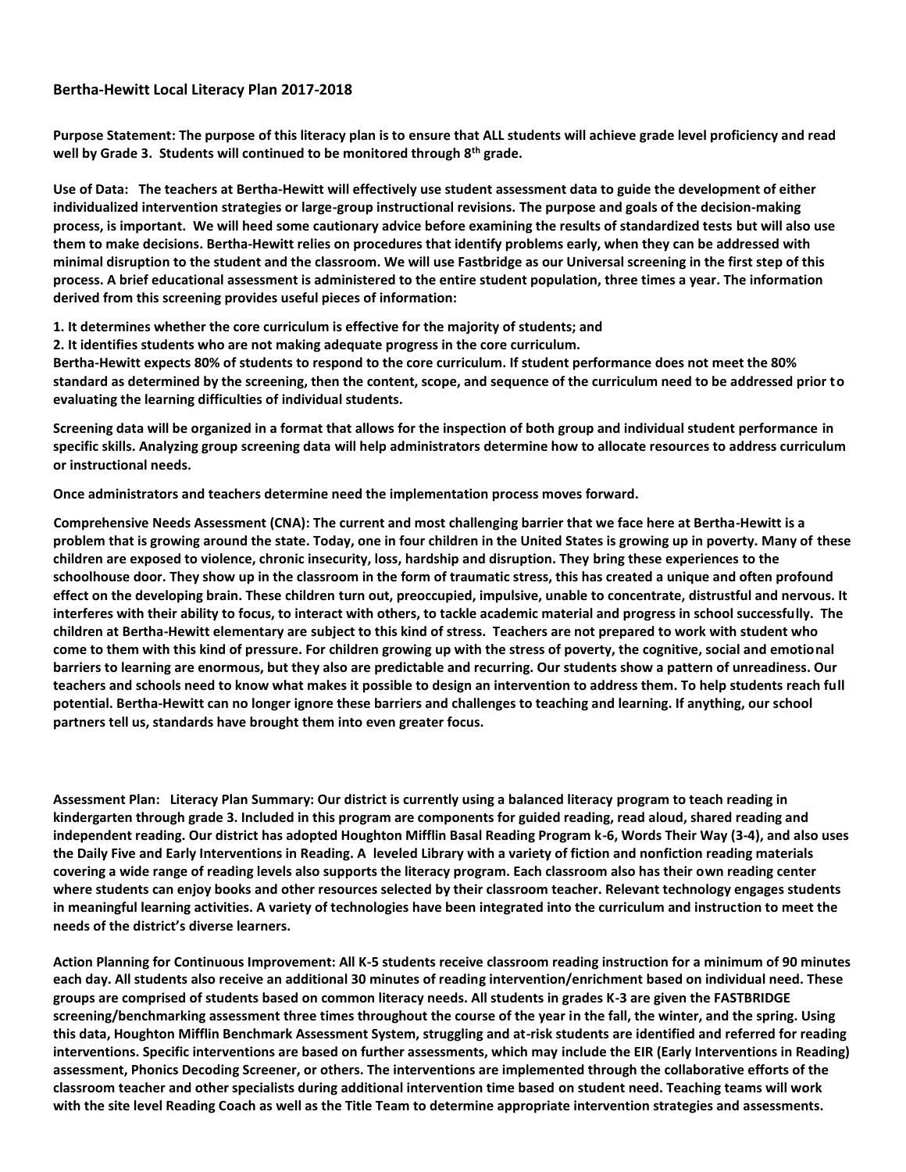## **Bertha-Hewitt Local Literacy Plan 2017-2018**

**Purpose Statement: The purpose of this literacy plan is to ensure that ALL students will achieve grade level proficiency and read well by Grade 3. Students will continued to be monitored through 8th grade.**

**Use of Data: The teachers at Bertha-Hewitt will effectively use student assessment data to guide the development of either individualized intervention strategies or large-group instructional revisions. The purpose and goals of the decision-making process, is important. We will heed some cautionary advice before examining the results of standardized tests but will also use them to make decisions. Bertha-Hewitt relies on procedures that identify problems early, when they can be addressed with minimal disruption to the student and the classroom. We will use Fastbridge as our Universal screening in the first step of this process. A brief educational assessment is administered to the entire student population, three times a year. The information derived from this screening provides useful pieces of information:**

**1. It determines whether the core curriculum is effective for the majority of students; and**

**2. It identifies students who are not making adequate progress in the core curriculum.**

**Bertha-Hewitt expects 80% of students to respond to the core curriculum. If student performance does not meet the 80% standard as determined by the screening, then the content, scope, and sequence of the curriculum need to be addressed prior to evaluating the learning difficulties of individual students.**

**Screening data will be organized in a format that allows for the inspection of both group and individual student performance in specific skills. Analyzing group screening data will help administrators determine how to allocate resources to address curriculum or instructional needs.**

**Once administrators and teachers determine need the implementation process moves forward.** 

 **Comprehensive Needs Assessment (CNA): The current and most challenging barrier that we face here at Bertha-Hewitt is a problem that is growing around the state. Today, one in four children in the United States is growing up in poverty. Many of these children are exposed to violence, chronic insecurity, loss, hardship and disruption. They bring these experiences to the schoolhouse door. They show up in the classroom in the form of traumatic stress, this has created a unique and often profound effect on the developing brain. These children turn out, preoccupied, impulsive, unable to concentrate, distrustful and nervous. It interferes with their ability to focus, to interact with others, to tackle academic material and progress in school successfully. The children at Bertha-Hewitt elementary are subject to this kind of stress. Teachers are not prepared to work with student who come to them with this kind of pressure. For children growing up with the stress of poverty, the cognitive, social and emotional barriers to learning are enormous, but they also are predictable and recurring. Our students show a pattern of unreadiness. Our teachers and schools need to know what makes it possible to design an intervention to address them. To help students reach full potential. Bertha-Hewitt can no longer ignore these barriers and challenges to teaching and learning. If anything, our school partners tell us, standards have brought them into even greater focus.** 

**Assessment Plan: Literacy Plan Summary: Our district is currently using a balanced literacy program to teach reading in kindergarten through grade 3. Included in this program are components for guided reading, read aloud, shared reading and independent reading. Our district has adopted Houghton Mifflin Basal Reading Program k-6, Words Their Way (3-4), and also uses the Daily Five and Early Interventions in Reading. A leveled Library with a variety of fiction and nonfiction reading materials covering a wide range of reading levels also supports the literacy program. Each classroom also has their own reading center where students can enjoy books and other resources selected by their classroom teacher. Relevant technology engages students in meaningful learning activities. A variety of technologies have been integrated into the curriculum and instruction to meet the needs of the district's diverse learners.**

**Action Planning for Continuous Improvement: All K-5 students receive classroom reading instruction for a minimum of 90 minutes each day. All students also receive an additional 30 minutes of reading intervention/enrichment based on individual need. These groups are comprised of students based on common literacy needs. All students in grades K-3 are given the FASTBRIDGE screening/benchmarking assessment three times throughout the course of the year in the fall, the winter, and the spring. Using this data, Houghton Mifflin Benchmark Assessment System, struggling and at-risk students are identified and referred for reading interventions. Specific interventions are based on further assessments, which may include the EIR (Early Interventions in Reading) assessment, Phonics Decoding Screener, or others. The interventions are implemented through the collaborative efforts of the classroom teacher and other specialists during additional intervention time based on student need. Teaching teams will work with the site level Reading Coach as well as the Title Team to determine appropriate intervention strategies and assessments.**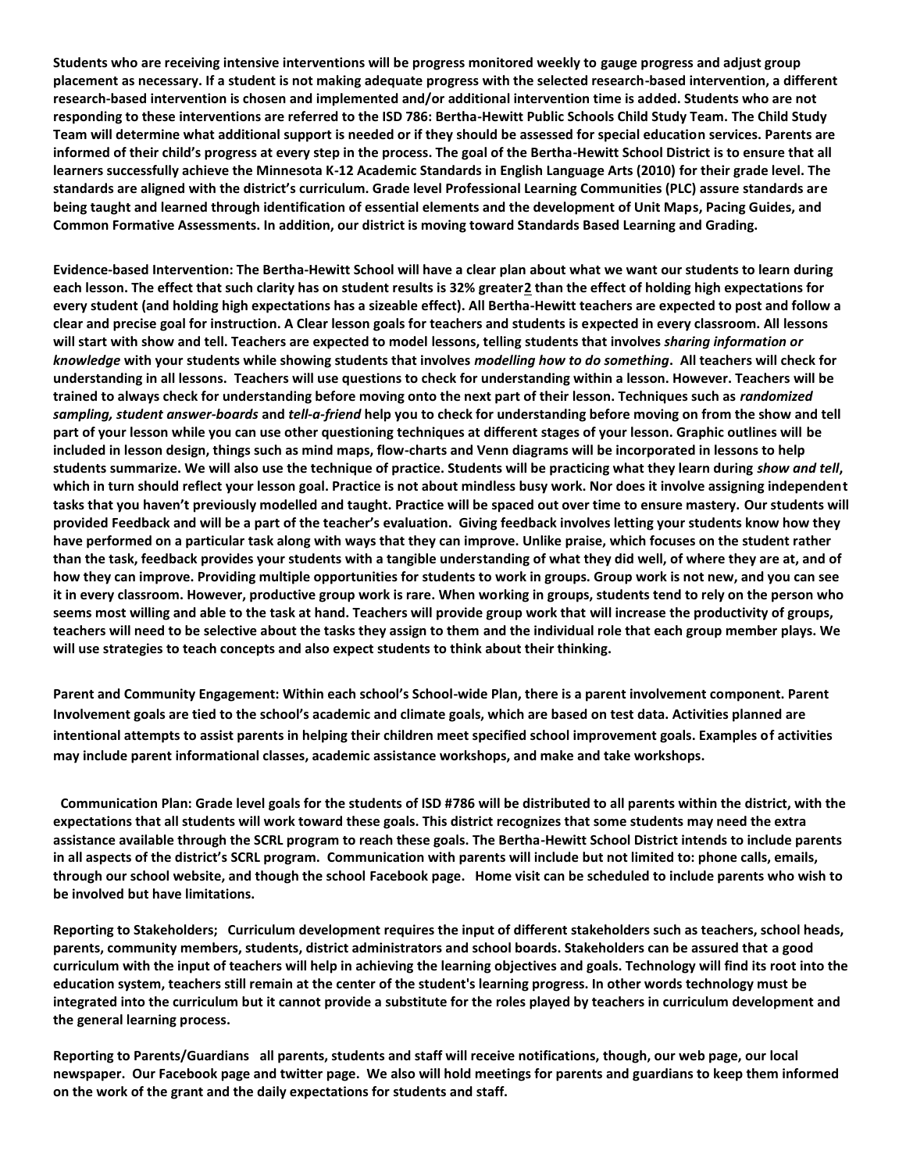**Students who are receiving intensive interventions will be progress monitored weekly to gauge progress and adjust group placement as necessary. If a student is not making adequate progress with the selected research-based intervention, a different research-based intervention is chosen and implemented and/or additional intervention time is added. Students who are not responding to these interventions are referred to the ISD 786: Bertha-Hewitt Public Schools Child Study Team. The Child Study Team will determine what additional support is needed or if they should be assessed for special education services. Parents are informed of their child's progress at every step in the process. The goal of the Bertha-Hewitt School District is to ensure that all learners successfully achieve the Minnesota K-12 Academic Standards in English Language Arts (2010) for their grade level. The standards are aligned with the district's curriculum. Grade level Professional Learning Communities (PLC) assure standards are being taught and learned through identification of essential elements and the development of Unit Maps, Pacing Guides, and Common Formative Assessments. In addition, our district is moving toward Standards Based Learning and Grading.** 

**Evidence-based Intervention: The Bertha-Hewitt School will have a clear plan about what we want our students to learn during each lesson. The effect that such clarity has on student results is 32% greate[r2](http://www.evidencebasedteaching.org.au/evidence-based-teaching-strategies/#footnote_1_752) than the effect of holding high expectations for every student (and holding high expectations has a sizeable effect). All Bertha-Hewitt teachers are expected to post and follow a clear and precise goal for instruction. A Clear lesson goals for teachers and students is expected in every classroom. All lessons will start with show and tell. Teachers are expected to model lessons, telling students that involves** *sharing information or knowledge* **with your students while showing students that involves** *modelling how to do something***. All teachers will check for understanding in all lessons. Teachers will use questions to check for understanding within a lesson. However. Teachers will be trained to always check for understanding before moving onto the next part of their lesson. Techniques such as** *randomized sampling, student answer-boards* **and** *tell-a-friend* **help you to check for understanding before moving on from the show and tell part of your lesson while you can use other questioning techniques at different stages of your lesson. Graphic outlines will be included in lesson design, things such as mind maps, flow-charts and Venn diagrams will be incorporated in lessons to help students summarize. We will also use the technique of practice. Students will be practicing what they learn during** *show and tell***, which in turn should reflect your lesson goal. Practice is not about mindless busy work. Nor does it involve assigning independent tasks that you haven't previously modelled and taught. Practice will be spaced out over time to ensure mastery. Our students will provided Feedback and will be a part of the teacher's evaluation. Giving feedback involves letting your students know how they have performed on a particular task along with ways that they can improve. Unlike praise, which focuses on the student rather than the task, feedback provides your students with a tangible understanding of what they did well, of where they are at, and of how they can improve. Providing multiple opportunities for students to work in groups. Group work is not new, and you can see it in every classroom. However, productive group work is rare. When working in groups, students tend to rely on the person who seems most willing and able to the task at hand. Teachers will provide group work that will increase the productivity of groups, teachers will need to be selective about the tasks they assign to them and the individual role that each group member plays. We will use strategies to teach concepts and also expect students to think about their thinking.**

**Parent and Community Engagement: Within each school's School-wide Plan, there is a parent involvement component. Parent Involvement goals are tied to the school's academic and climate goals, which are based on test data. Activities planned are intentional attempts to assist parents in helping their children meet specified school improvement goals. Examples of activities may include parent informational classes, academic assistance workshops, and make and take workshops.**

**Communication Plan: Grade level goals for the students of ISD #786 will be distributed to all parents within the district, with the expectations that all students will work toward these goals. This district recognizes that some students may need the extra assistance available through the SCRL program to reach these goals. The Bertha-Hewitt School District intends to include parents in all aspects of the district's SCRL program. Communication with parents will include but not limited to: phone calls, emails, through our school website, and though the school Facebook page. Home visit can be scheduled to include parents who wish to be involved but have limitations.** 

**Reporting to Stakeholders; Curriculum development requires the input of different stakeholders such as teachers, school heads, parents, community members, students, district administrators and school boards. Stakeholders can be assured that a good curriculum with the input of teachers will help in achieving the learning objectives and goals. Technology will find its root into the education system, teachers still remain at the center of the student's learning progress. In other words technology must be integrated into the curriculum but it cannot provide a substitute for the roles played by teachers in curriculum development and the general learning process.** 

**Reporting to Parents/Guardians all parents, students and staff will receive notifications, though, our web page, our local newspaper. Our Facebook page and twitter page. We also will hold meetings for parents and guardians to keep them informed on the work of the grant and the daily expectations for students and staff.**